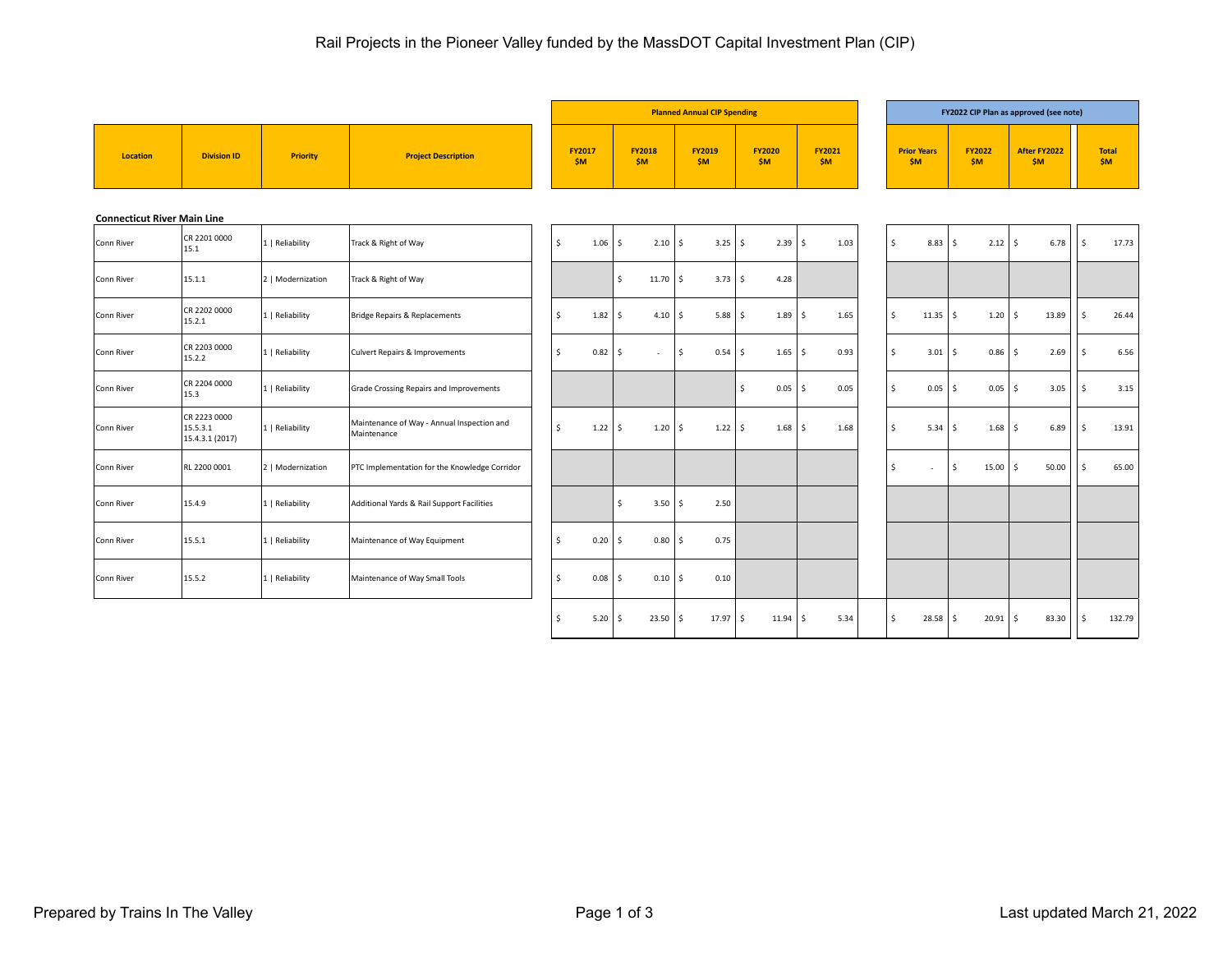|                                    |                                             |                   |                                                           |                    |      |                            |      | <b>Planned Annual CIP Spending</b> |                      |      |                 |              |                             |              |                        |              | FY2022 CIP Plan as approved (see note) |                     |                           |
|------------------------------------|---------------------------------------------|-------------------|-----------------------------------------------------------|--------------------|------|----------------------------|------|------------------------------------|----------------------|------|-----------------|--------------|-----------------------------|--------------|------------------------|--------------|----------------------------------------|---------------------|---------------------------|
| <b>Location</b>                    | <b>Division ID</b>                          | <b>Priority</b>   | <b>Project Description</b>                                | FY2017<br>\$M\$    |      | <b>FY2018</b><br>\$M\$     |      | <b>FY2019</b><br>\$M\$             | <b>FY2020</b><br>\$M |      | FY2021<br>\$M\$ |              | <b>Prior Years</b><br>\$M\$ |              | <b>FY2022</b><br>\$M\$ |              | After FY2022<br>\$M\$                  |                     | <b>Total</b><br><b>SM</b> |
| <b>Connecticut River Main Line</b> |                                             |                   |                                                           |                    |      |                            |      |                                    |                      |      |                 |              |                             |              |                        |              |                                        |                     |                           |
| Conn River                         | CR 2201 0000<br>15.1                        | 1   Reliability   | Track & Right of Way                                      | $\mathsf{S}$       | 1.06 | 2.10<br><sup>\$</sup>      | l \$ | 3.25                               | ۱ś                   | 2.39 | 1.03<br>Ŝ.      | $\mathsf{S}$ | 8.83                        | l s          | 2.12                   | $\mathsf{S}$ | 6.78                                   | $\mathsf{S}$        | 17.73                     |
| Conn River                         | 15.1.1                                      | 2   Modernization | Track & Right of Way                                      |                    |      | $\mathsf{s}$<br>$11.70$ \$ |      | $3.73$ $\frac{1}{5}$               | 4.28                 |      |                 |              |                             |              |                        |              |                                        |                     |                           |
| Conn River                         | CR 2202 0000<br>15.2.1                      | 1   Reliability   | Bridge Repairs & Replacements                             | \$                 | 1.82 | \$<br>4.10                 | l s  | $5.88$   \$                        |                      | 1.89 | 1.65<br>S.      | \$           | $11.35$   \$                |              | 1.20                   | \$           | 13.89                                  | $\ddot{\mathsf{s}}$ | 26.44                     |
| Conn River                         | CR 2203 0000<br>15.2.2                      | 1   Reliability   | Culvert Repairs & Improvements                            | \$                 | 0.82 | \$<br>$\sim$               | \$   | $0.54$   \$                        |                      | 1.65 | S.<br>0.93      | Ŝ.           | 3.01                        | l \$         | 0.86                   | Ŝ.           | 2.69                                   | Ŝ.                  | 6.56                      |
| Conn River                         | CR 2204 0000<br>15.3                        | 1   Reliability   | Grade Crossing Repairs and Improvements                   |                    |      |                            |      |                                    | \$<br>0.05           |      | 0.05<br>Ŝ.      | Ŝ.           | 0.05                        | ۱ś           | 0.05                   | Ŝ.           | 3.05                                   | Ŝ.                  | 3.15                      |
| Conn River                         | CR 2223 0000<br>15.5.3.1<br>15.4.3.1 (2017) | 1   Reliability   | Maintenance of Way - Annual Inspection and<br>Maintenance | \$                 | 1.22 | $1.20$   \$<br>S.          |      | $1.22$   \$                        |                      | 1.68 | S.<br>1.68      | Ŝ.           | $5.34$   \$                 |              | 1.68                   | S.           | 6.89                                   | \$                  | 13.91                     |
| Conn River                         | RL 2200 0001                                | 2   Modernization | PTC Implementation for the Knowledge Corridor             |                    |      |                            |      |                                    |                      |      |                 | \$           | ٠                           | $\mathsf{S}$ | 15.00                  | Ŝ.           | 50.00                                  | $\mathsf{S}$        | 65.00                     |
| Conn River                         | 15.4.9                                      | 1   Reliability   | Additional Yards & Rail Support Facilities                |                    |      | <sup>\$</sup><br>3.50      | S.   | 2.50                               |                      |      |                 |              |                             |              |                        |              |                                        |                     |                           |
| Conn River                         | 15.5.1                                      | 1   Reliability   | Maintenance of Way Equipment                              | $\mathsf{\hat{S}}$ | 0.20 | Ŝ.<br>0.80                 | S.   | 0.75                               |                      |      |                 |              |                             |              |                        |              |                                        |                     |                           |
| Conn River                         | 15.5.2                                      | 1   Reliability   | Maintenance of Way Small Tools                            | $\mathsf{\hat{S}}$ | 0.08 | $0.10$   \$<br>-S          |      | 0.10                               |                      |      |                 |              |                             |              |                        |              |                                        |                     |                           |
|                                    |                                             |                   |                                                           | \$                 | 5.20 | 23.50<br><sup>\$</sup>     | \$   | $17.97$ \ \$                       | 11.94                |      | 5.34<br>Š.      | $\mathsf{S}$ | $28.58$ \ \$                |              | 20.91                  | Š.           | 83.30                                  | $\ddot{\mathsf{s}}$ | 132.79                    |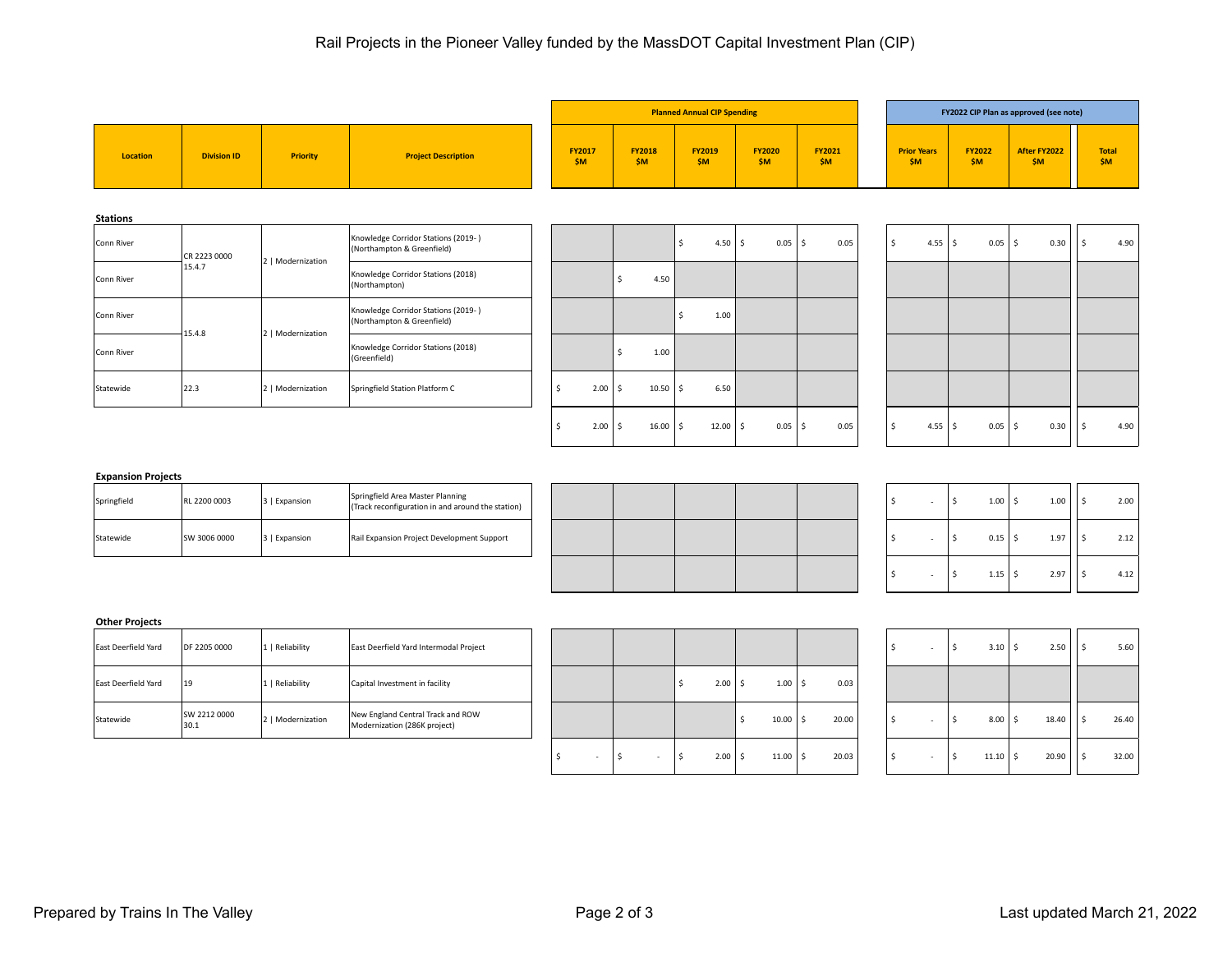|                 |                    |                   |                                                                   |    |                        |    |                        | <b>Planned Annual CIP Spending</b> |              |                        |                 |      |                             |                      |                        |             | FY2022 CIP Plan as approved (see note) |               |                            |
|-----------------|--------------------|-------------------|-------------------------------------------------------------------|----|------------------------|----|------------------------|------------------------------------|--------------|------------------------|-----------------|------|-----------------------------|----------------------|------------------------|-------------|----------------------------------------|---------------|----------------------------|
| Location        | <b>Division ID</b> | <b>Priority</b>   | <b>Project Description</b>                                        |    | <b>FY2017</b><br>\$M\$ |    | <b>FY2018</b><br>\$M\$ | <b>FY2019</b><br>\$M\$             |              | <b>FY2020</b><br>\$M\$ | FY2021<br>\$M\$ |      | <b>Prior Years</b><br>\$M\$ |                      | <b>FY2022</b><br>\$M\$ |             | After FY2022<br>\$M\$                  |               | <b>Total</b><br><b>\$M</b> |
| <b>Stations</b> |                    |                   |                                                                   |    |                        |    |                        |                                    |              |                        |                 |      |                             |                      |                        |             |                                        |               |                            |
| Conn River      | CR 2223 0000       |                   | Knowledge Corridor Stations (2019-)<br>(Northampton & Greenfield) |    |                        |    |                        | Ś                                  | $4.50$ \ \$  | 0.05                   | l \$            | 0.05 | $\mathsf{S}$                | $4.55$ $\frac{1}{5}$ |                        | $0.05$   \$ | 0.30                                   | <sup>\$</sup> | 4.90                       |
| Conn River      | 15.4.7             | 2   Modernization | Knowledge Corridor Stations (2018)<br>(Northampton)               |    |                        |    | 4.50                   |                                    |              |                        |                 |      |                             |                      |                        |             |                                        |               |                            |
| Conn River      |                    |                   | Knowledge Corridor Stations (2019-)<br>(Northampton & Greenfield) |    |                        |    |                        |                                    | 1.00         |                        |                 |      |                             |                      |                        |             |                                        |               |                            |
| Conn River      | 15.4.8             | 2   Modernization | Knowledge Corridor Stations (2018)<br>(Greenfield)                |    |                        |    | 1.00                   |                                    |              |                        |                 |      |                             |                      |                        |             |                                        |               |                            |
| Statewide       | 22.3               | 2   Modernization | Springfield Station Platform C                                    | Ŝ. | 2.00                   | Ŝ. | 10.50                  | \$                                 | 6.50         |                        |                 |      |                             |                      |                        |             |                                        |               |                            |
|                 |                    |                   |                                                                   | 5، | $2.00$   \$            |    | $16.00$   \$           |                                    | $12.00$   \$ | $0.05$   \$            |                 | 0.05 | Ŝ.                          | 4.55 $\vert$ \$      |                        | $0.05$   \$ | 0.30                                   | \$            | 4.90                       |

## **Expansion Projects**

| Springfield | RL 2200 0003 | 3   Expansion | Springfield Area Master Planning<br>(Track reconfiguration in and around the station) |  |  |  |  |  | 1.00 | 1.00               | 2.00 |
|-------------|--------------|---------------|---------------------------------------------------------------------------------------|--|--|--|--|--|------|--------------------|------|
| Statewide   | SW 3006 0000 | 3   Expansion | Rail Expansion Project Development Support                                            |  |  |  |  |  | 0.15 | 107<br><b>1.</b> 2 | 2.12 |

| Springfield Area Master Planning<br>(Track reconfiguration in and around the station) |  |  |  |  | 1.00 | 1.00 | 2.00 |
|---------------------------------------------------------------------------------------|--|--|--|--|------|------|------|
| Rail Expansion Project Development Support                                            |  |  |  |  | 0.15 | 1.97 | 2.12 |
|                                                                                       |  |  |  |  | 1.15 | 2.97 | 4.12 |

| $\sim$ | -\$ | $1.00$ \$   | 1.00 | \$<br>2.00 |
|--------|-----|-------------|------|------------|
|        | -\$ | $0.15$ \$   | 1.97 | \$<br>2.12 |
|        | \$  | $1.15$   \$ | 2.97 | \$<br>4.12 |

## **Other Projects**

| East Deerfield Yard | DF 2205 0000         | 1   Reliability   | East Deerfield Yard Intermodal Project                            |  |             |              |       |  |  | $3.10$   \$ | 2.50  | 5.60  |
|---------------------|----------------------|-------------------|-------------------------------------------------------------------|--|-------------|--------------|-------|--|--|-------------|-------|-------|
| East Deerfield Yard | 19                   | 1   Reliability   | Capital Investment in facility                                    |  | $2.00$   \$ | $1.00$   \$  | 0.03  |  |  |             |       |       |
| Statewide           | SW 2212 0000<br>30.1 | 2   Modernization | New England Central Track and ROW<br>Modernization (286K project) |  |             | $10.00$   \$ | 20.00 |  |  | 8.00        | 18.40 | 26.40 |

| East Deerfield Yard Intermodal Project                            |                          |             |      |    |              |     |       |  | $\overline{\phantom{a}}$ |   | 3.10  | -\$ | 2.50  | 5.60  |
|-------------------------------------------------------------------|--------------------------|-------------|------|----|--------------|-----|-------|--|--------------------------|---|-------|-----|-------|-------|
| Capital Investment in facility                                    |                          |             | 2.00 | -S | $1.00$   \$  |     | 0.03  |  |                          |   |       |     |       |       |
| New England Central Track and ROW<br>Modernization (286K project) |                          |             |      |    | 10.00        | -\$ | 20.00 |  | $\overline{\phantom{a}}$ | 5 | 8.00  | -\$ | 18.40 | 26.40 |
|                                                                   | $\overline{\phantom{a}}$ | 2<br>$\sim$ | 2.00 | -Ś | $11.00$   \$ |     | 20.03 |  | $\overline{\phantom{a}}$ | 5 | 11.10 | -\$ | 20.90 | 32.00 |

| \$ | \$<br>3.10  | \$<br>2.50  | \$<br>5.60  |
|----|-------------|-------------|-------------|
|    |             |             |             |
| \$ | \$<br>8.00  | \$<br>18.40 | \$<br>26.40 |
| \$ | \$<br>11.10 | \$<br>20.90 | \$<br>32.00 |